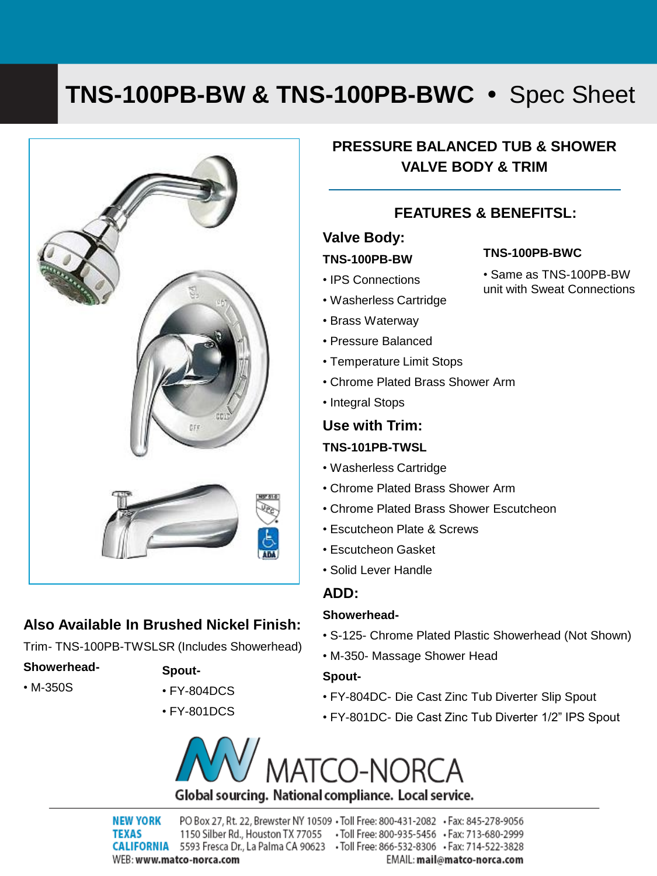# **TNS-100PB-BW & TNS-100PB-BWC •** Spec Sheet



## **Also Available In Brushed Nickel Finish:**

Trim- TNS-100PB-TWSLSR (Includes Showerhead)

• M-350S

**Showerhead-**

- **Spout-**
- FY-804DCS
	- FY-801DCS

## **PRESSURE BALANCED TUB & SHOWER VALVE BODY & TRIM**

## **FEATURES & BENEFITSL:**

#### **Valve Body:**

#### **TNS-100PB-BW**

#### **TNS-100PB-BWC**

• Same as TNS-100PB-BW unit with Sweat Connections

- IPS Connections
- Washerless Cartridge
- Brass Waterway
- Pressure Balanced
- Temperature Limit Stops
- Chrome Plated Brass Shower Arm
- Integral Stops

## **Use with Trim: TNS-101PB-TWSL**

- Washerless Cartridge
- Chrome Plated Brass Shower Arm
- Chrome Plated Brass Shower Escutcheon
- Escutcheon Plate & Screws
- Escutcheon Gasket
- Solid Lever Handle

## **ADD:**

### **Showerhead-**

- S-125- Chrome Plated Plastic Showerhead (Not Shown)
- M-350- Massage Shower Head

### **Spout-**

- FY-804DC- Die Cast Zinc Tub Diverter Slip Spout
- FY-801DC- Die Cast Zinc Tub Diverter 1/2" IPS Spout



**NEW YORK** PO Box 27, Rt. 22, Brewster NY 10509 . Toll Free: 800-431-2082 . Fax: 845-278-9056 1150 Silber Rd., Houston TX 77055 . Toll Free: 800-935-5456 . Fax: 713-680-2999 **TEXAS** CALIFORNIA 5593 Fresca Dr., La Palma CA 90623 · Toll Free: 866-532-8306 · Fax: 714-522-3828 WEB: www.matco-norca.com EMAIL: mail@matco-norca.com